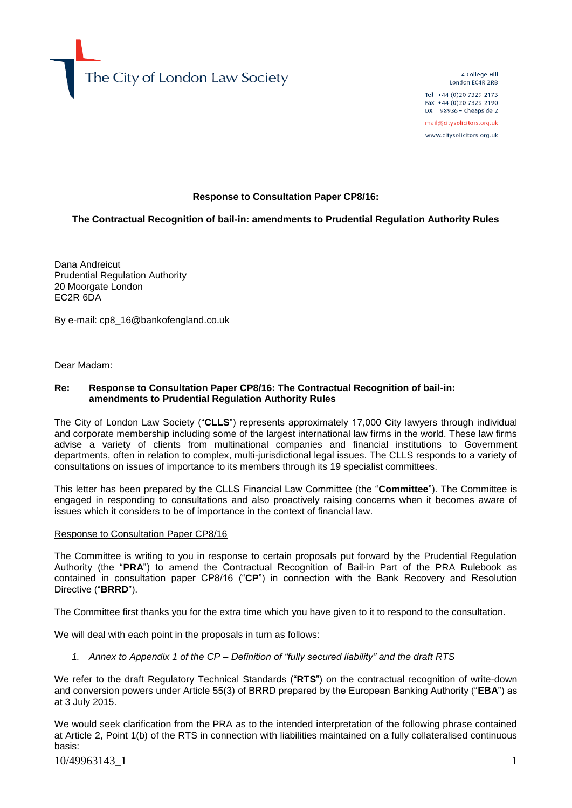The City of London Law Society

4 College Hill London EC4R 2RB

Tel +44 (0)20 7329 2173 Fax +44 (0) 20 7329 2190 DX  $98936$  - Cheapside 2

mail@citysolicitors.org.uk www.citysolicitors.org.uk

**Response to Consultation Paper CP8/16:** 

# **The Contractual Recognition of bail-in: amendments to Prudential Regulation Authority Rules**

Dana Andreicut Prudential Regulation Authority 20 Moorgate London EC2R 6DA

By e-mail: [cp8\\_16@bankofengland.co.uk](mailto:cp8_16@bankofengland.co.uk)

Dear Madam:

## **Re: Response to Consultation Paper CP8/16: The Contractual Recognition of bail-in: amendments to Prudential Regulation Authority Rules**

The City of London Law Society ("**CLLS**") represents approximately 17,000 City lawyers through individual and corporate membership including some of the largest international law firms in the world. These law firms advise a variety of clients from multinational companies and financial institutions to Government departments, often in relation to complex, multi-jurisdictional legal issues. The CLLS responds to a variety of consultations on issues of importance to its members through its 19 specialist committees.

This letter has been prepared by the CLLS Financial Law Committee (the "**Committee**"). The Committee is engaged in responding to consultations and also proactively raising concerns when it becomes aware of issues which it considers to be of importance in the context of financial law.

#### Response to Consultation Paper CP8/16

The Committee is writing to you in response to certain proposals put forward by the Prudential Regulation Authority (the "**PRA**") to amend the Contractual Recognition of Bail-in Part of the PRA Rulebook as contained in consultation paper CP8/16 ("**CP**") in connection with the Bank Recovery and Resolution Directive ("**BRRD**").

The Committee first thanks you for the extra time which you have given to it to respond to the consultation.

We will deal with each point in the proposals in turn as follows:

*1. Annex to Appendix 1 of the CP – Definition of "fully secured liability" and the draft RTS*

We refer to the draft Regulatory Technical Standards ("**RTS**") on the contractual recognition of write-down and conversion powers under Article 55(3) of BRRD prepared by the European Banking Authority ("**EBA**") as at 3 July 2015.

We would seek clarification from the PRA as to the intended interpretation of the following phrase contained at Article 2, Point 1(b) of the RTS in connection with liabilities maintained on a fully collateralised continuous basis:

10/49963143\_1 1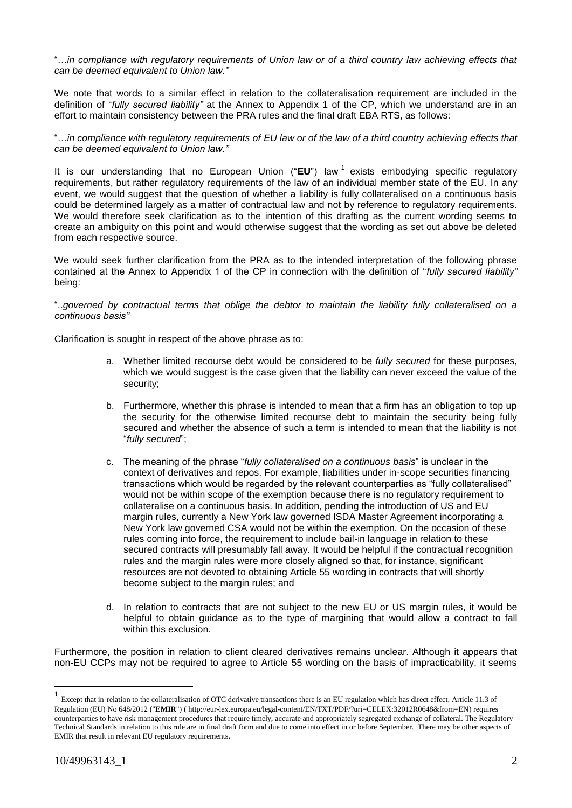"…*in compliance with regulatory requirements of Union law or of a third country law achieving effects that can be deemed equivalent to Union law."*

We note that words to a similar effect in relation to the collateralisation requirement are included in the definition of "*fully secured liability"* at the Annex to Appendix 1 of the CP, which we understand are in an effort to maintain consistency between the PRA rules and the final draft EBA RTS, as follows:

"…*in compliance with regulatory requirements of EU law or of the law of a third country achieving effects that can be deemed equivalent to Union law."*

It is our understanding that no European Union ("EU") law <sup>1</sup> exists embodying specific regulatory requirements, but rather regulatory requirements of the law of an individual member state of the EU. In any event, we would suggest that the question of whether a liability is fully collateralised on a continuous basis could be determined largely as a matter of contractual law and not by reference to regulatory requirements. We would therefore seek clarification as to the intention of this drafting as the current wording seems to create an ambiguity on this point and would otherwise suggest that the wording as set out above be deleted from each respective source.

We would seek further clarification from the PRA as to the intended interpretation of the following phrase contained at the Annex to Appendix 1 of the CP in connection with the definition of "*fully secured liability"*  being:

"..*governed by contractual terms that oblige the debtor to maintain the liability fully collateralised on a continuous basis"*

Clarification is sought in respect of the above phrase as to:

- a. Whether limited recourse debt would be considered to be *fully secured* for these purposes, which we would suggest is the case given that the liability can never exceed the value of the security;
- b. Furthermore, whether this phrase is intended to mean that a firm has an obligation to top up the security for the otherwise limited recourse debt to maintain the security being fully secured and whether the absence of such a term is intended to mean that the liability is not "*fully secured*";
- c. The meaning of the phrase "*fully collateralised on a continuous basis*" is unclear in the context of derivatives and repos. For example, liabilities under in-scope securities financing transactions which would be regarded by the relevant counterparties as "fully collateralised" would not be within scope of the exemption because there is no regulatory requirement to collateralise on a continuous basis. In addition, pending the introduction of US and EU margin rules, currently a New York law governed ISDA Master Agreement incorporating a New York law governed CSA would not be within the exemption. On the occasion of these rules coming into force, the requirement to include bail-in language in relation to these secured contracts will presumably fall away. It would be helpful if the contractual recognition rules and the margin rules were more closely aligned so that, for instance, significant resources are not devoted to obtaining Article 55 wording in contracts that will shortly become subject to the margin rules; and
- d. In relation to contracts that are not subject to the new EU or US margin rules, it would be helpful to obtain guidance as to the type of margining that would allow a contract to fall within this exclusion.

Furthermore, the position in relation to client cleared derivatives remains unclear. Although it appears that non-EU CCPs may not be required to agree to Article 55 wording on the basis of impracticability, it seems

1

<sup>&</sup>lt;sup>1</sup> Except that in relation to the collateralisation of OTC derivative transactions there is an EU regulation which has direct effect. Article 11.3 of Regulation (EU) No 648/2012 ("**EMIR**") ( [http://eur-lex.europa.eu/legal-content/EN/TXT/PDF/?uri=CELEX:32012R0648&from=EN\)](http://eur-lex.europa.eu/legal-content/EN/TXT/PDF/?uri=CELEX:32012R0648&from=EN) requires counterparties to have risk management procedures that require timely, accurate and appropriately segregated exchange of collateral. The Regulatory Technical Standards in relation to this rule are in final draft form and due to come into effect in or before September. There may be other aspects of EMIR that result in relevant EU regulatory requirements.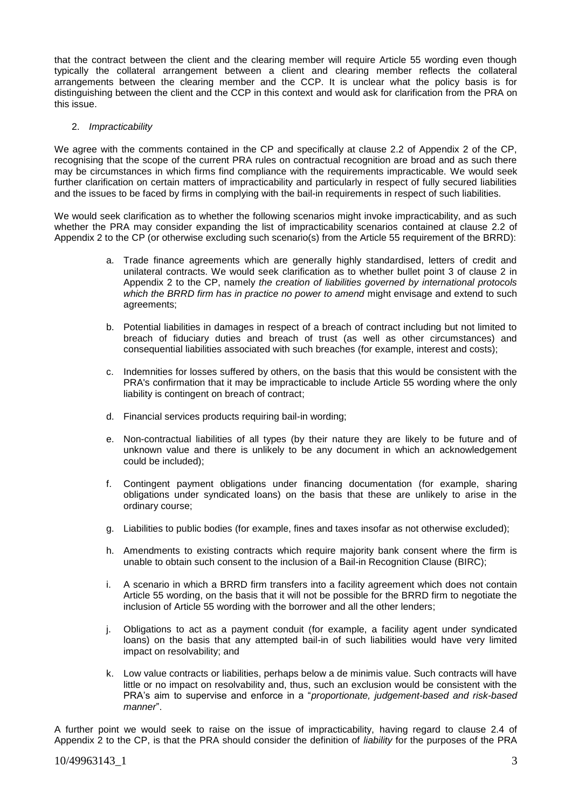that the contract between the client and the clearing member will require Article 55 wording even though typically the collateral arrangement between a client and clearing member reflects the collateral arrangements between the clearing member and the CCP. It is unclear what the policy basis is for distinguishing between the client and the CCP in this context and would ask for clarification from the PRA on this issue.

## 2. *Impracticability*

We agree with the comments contained in the CP and specifically at clause 2.2 of Appendix 2 of the CP, recognising that the scope of the current PRA rules on contractual recognition are broad and as such there may be circumstances in which firms find compliance with the requirements impracticable. We would seek further clarification on certain matters of impracticability and particularly in respect of fully secured liabilities and the issues to be faced by firms in complying with the bail-in requirements in respect of such liabilities.

We would seek clarification as to whether the following scenarios might invoke impracticability, and as such whether the PRA may consider expanding the list of impracticability scenarios contained at clause 2.2 of Appendix 2 to the CP (or otherwise excluding such scenario(s) from the Article 55 requirement of the BRRD):

- a. Trade finance agreements which are generally highly standardised, letters of credit and unilateral contracts. We would seek clarification as to whether bullet point 3 of clause 2 in Appendix 2 to the CP, namely *the creation of liabilities governed by international protocols which the BRRD firm has in practice no power to amend* might envisage and extend to such agreements;
- b. Potential liabilities in damages in respect of a breach of contract including but not limited to breach of fiduciary duties and breach of trust (as well as other circumstances) and consequential liabilities associated with such breaches (for example, interest and costs);
- c. Indemnities for losses suffered by others, on the basis that this would be consistent with the PRA's confirmation that it may be impracticable to include Article 55 wording where the only liability is contingent on breach of contract;
- d. Financial services products requiring bail-in wording;
- e. Non-contractual liabilities of all types (by their nature they are likely to be future and of unknown value and there is unlikely to be any document in which an acknowledgement could be included);
- f. Contingent payment obligations under financing documentation (for example, sharing obligations under syndicated loans) on the basis that these are unlikely to arise in the ordinary course;
- g. Liabilities to public bodies (for example, fines and taxes insofar as not otherwise excluded);
- h. Amendments to existing contracts which require majority bank consent where the firm is unable to obtain such consent to the inclusion of a Bail-in Recognition Clause (BIRC);
- i. A scenario in which a BRRD firm transfers into a facility agreement which does not contain Article 55 wording, on the basis that it will not be possible for the BRRD firm to negotiate the inclusion of Article 55 wording with the borrower and all the other lenders;
- j. Obligations to act as a payment conduit (for example, a facility agent under syndicated loans) on the basis that any attempted bail-in of such liabilities would have very limited impact on resolvability; and
- k. Low value contracts or liabilities, perhaps below a de minimis value. Such contracts will have little or no impact on resolvability and, thus, such an exclusion would be consistent with the PRA's aim to supervise and enforce in a "*proportionate, judgement-based and risk-based manner*".

A further point we would seek to raise on the issue of impracticability, having regard to clause 2.4 of Appendix 2 to the CP, is that the PRA should consider the definition of *liability* for the purposes of the PRA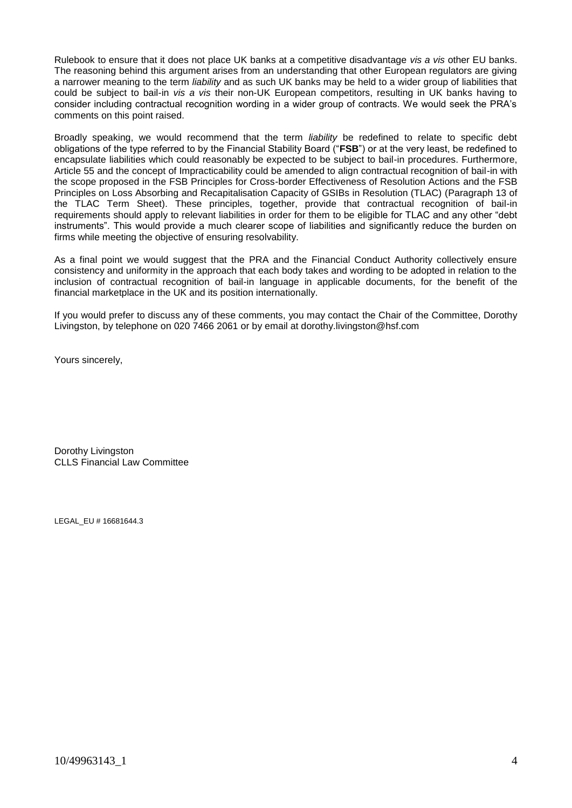Rulebook to ensure that it does not place UK banks at a competitive disadvantage *vis a vis* other EU banks. The reasoning behind this argument arises from an understanding that other European regulators are giving a narrower meaning to the term *liability* and as such UK banks may be held to a wider group of liabilities that could be subject to bail-in *vis a vis* their non-UK European competitors, resulting in UK banks having to consider including contractual recognition wording in a wider group of contracts. We would seek the PRA's comments on this point raised.

Broadly speaking, we would recommend that the term *liability* be redefined to relate to specific debt obligations of the type referred to by the Financial Stability Board ("**FSB**") or at the very least, be redefined to encapsulate liabilities which could reasonably be expected to be subject to bail-in procedures. Furthermore, Article 55 and the concept of Impracticability could be amended to align contractual recognition of bail-in with the scope proposed in the FSB Principles for Cross-border Effectiveness of Resolution Actions and the FSB Principles on Loss Absorbing and Recapitalisation Capacity of GSIBs in Resolution (TLAC) (Paragraph 13 of the TLAC Term Sheet). These principles, together, provide that contractual recognition of bail-in requirements should apply to relevant liabilities in order for them to be eligible for TLAC and any other "debt instruments". This would provide a much clearer scope of liabilities and significantly reduce the burden on firms while meeting the objective of ensuring resolvability.

As a final point we would suggest that the PRA and the Financial Conduct Authority collectively ensure consistency and uniformity in the approach that each body takes and wording to be adopted in relation to the inclusion of contractual recognition of bail-in language in applicable documents, for the benefit of the financial marketplace in the UK and its position internationally.

If you would prefer to discuss any of these comments, you may contact the Chair of the Committee, Dorothy Livingston, by telephone on 020 7466 2061 or by email at dorothy.livingston@hsf.com

Yours sincerely,

Dorothy Livingston CLLS Financial Law Committee

LEGAL\_EU # 16681644.3